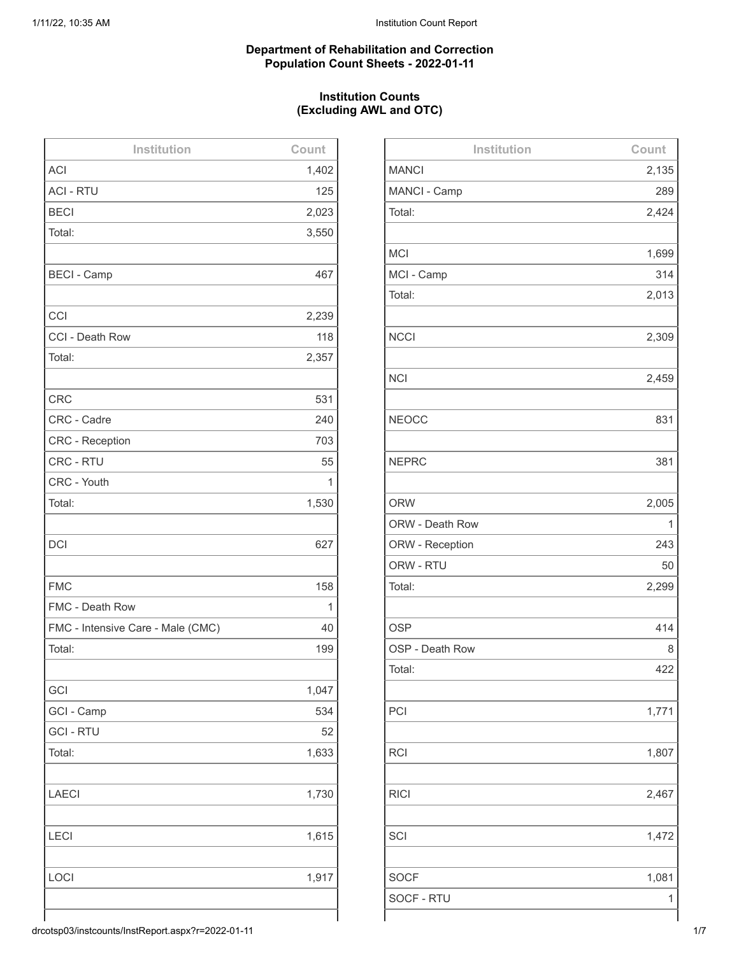#### **Department of Rehabilitation and Correction Population Count Sheets - 2022-01-11**

## **Institution Counts (Excluding AWL and OTC)**

| Institution                       | Count |
|-----------------------------------|-------|
| <b>ACI</b>                        | 1,402 |
| <b>ACI - RTU</b>                  | 125   |
| <b>BECI</b>                       | 2,023 |
| Total:                            | 3,550 |
|                                   |       |
| <b>BECI - Camp</b>                | 467   |
|                                   |       |
| CCI                               | 2,239 |
| CCI - Death Row                   | 118   |
| Total:                            | 2,357 |
|                                   |       |
| <b>CRC</b>                        | 531   |
| CRC - Cadre                       | 240   |
| <b>CRC</b> - Reception            | 703   |
| CRC - RTU                         | 55    |
| CRC - Youth                       | 1     |
| Total:                            | 1,530 |
|                                   |       |
| <b>DCI</b>                        | 627   |
|                                   |       |
| <b>FMC</b>                        | 158   |
| FMC - Death Row                   | 1     |
| FMC - Intensive Care - Male (CMC) | 40    |
| Total:                            | 199   |
|                                   |       |
| GCI                               | 1,047 |
| GCI - Camp                        | 534   |
| <b>GCI - RTU</b>                  | 52    |
| Total:                            | 1,633 |
|                                   |       |
| <b>LAECI</b>                      | 1,730 |
|                                   |       |
| <b>LECI</b>                       | 1,615 |
|                                   |       |
| LOCI                              | 1,917 |
|                                   |       |
|                                   |       |

| Institution     | Count |
|-----------------|-------|
| <b>MANCI</b>    | 2,135 |
| MANCI - Camp    | 289   |
| Total:          | 2,424 |
|                 |       |
| <b>MCI</b>      | 1,699 |
| MCI - Camp      | 314   |
| Total:          | 2,013 |
|                 |       |
| <b>NCCI</b>     | 2,309 |
|                 |       |
| <b>NCI</b>      | 2,459 |
|                 |       |
| <b>NEOCC</b>    | 831   |
|                 |       |
| <b>NEPRC</b>    | 381   |
|                 |       |
| <b>ORW</b>      | 2,005 |
| ORW - Death Row | 1     |
| ORW - Reception | 243   |
| ORW - RTU       | 50    |
| Total:          | 2,299 |
|                 |       |
| <b>OSP</b>      | 414   |
| OSP - Death Row | 8     |
| Total:          | 422   |
|                 |       |
| PCI             | 1,771 |
|                 |       |
| <b>RCI</b>      | 1,807 |
|                 |       |
| <b>RICI</b>     | 2,467 |
|                 |       |
| SCI             | 1,472 |
|                 |       |
| <b>SOCF</b>     | 1,081 |
| SOCF - RTU      | 1     |
|                 |       |

drcotsp03/instcounts/InstReport.aspx?r=2022-01-11 1/7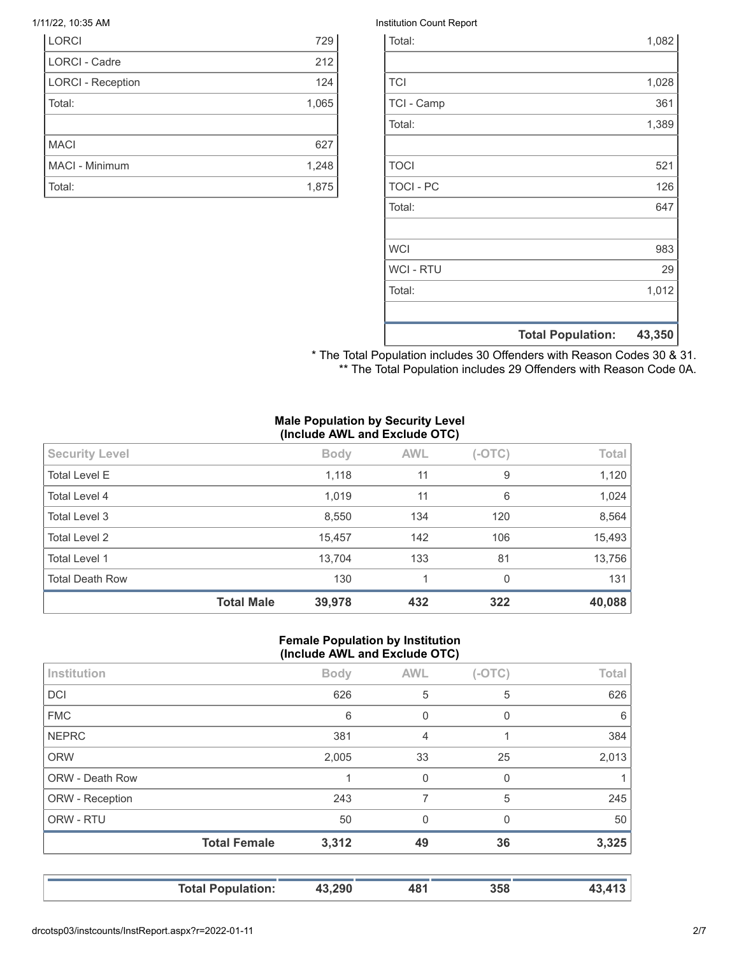| <b>LORCI</b>             | 729   |
|--------------------------|-------|
| <b>LORCI - Cadre</b>     | 212   |
| <b>LORCI - Reception</b> | 124   |
| Total:                   | 1,065 |
|                          |       |
| <b>MACI</b>              | 627   |
| MACI - Minimum           | 1,248 |
| Total:                   | 1,875 |

#### 1/11/22, 10:35 AM Institution Count Report

| Total:           |                          | 1,082  |
|------------------|--------------------------|--------|
|                  |                          |        |
| <b>TCI</b>       |                          | 1,028  |
| TCI - Camp       |                          | 361    |
| Total:           |                          | 1,389  |
|                  |                          |        |
| <b>TOCI</b>      |                          | 521    |
| <b>TOCI - PC</b> |                          | 126    |
| Total:           |                          | 647    |
|                  |                          |        |
| <b>WCI</b>       |                          | 983    |
| <b>WCI - RTU</b> |                          | 29     |
| Total:           |                          | 1,012  |
|                  |                          |        |
|                  | <b>Total Population:</b> | 43,350 |

\* The Total Population includes 30 Offenders with Reason Codes 30 & 31. \*\* The Total Population includes 29 Offenders with Reason Code 0A.

#### **Male Population by Security Level (Include AWL and Exclude OTC)**

| <b>Security Level</b>  |                   | <b>Body</b> | <b>AWL</b> | $(-OTC)$ | Total  |
|------------------------|-------------------|-------------|------------|----------|--------|
| <b>Total Level E</b>   |                   | 1,118       | 11         | 9        | 1,120  |
| Total Level 4          |                   | 1,019       | 11         | 6        | 1,024  |
| <b>Total Level 3</b>   |                   | 8,550       | 134        | 120      | 8,564  |
| <b>Total Level 2</b>   |                   | 15,457      | 142        | 106      | 15,493 |
| <b>Total Level 1</b>   |                   | 13,704      | 133        | 81       | 13,756 |
| <b>Total Death Row</b> |                   | 130         | 1          | $\Omega$ | 131    |
|                        | <b>Total Male</b> | 39,978      | 432        | 322      | 40,088 |

#### **Female Population by Institution (Include AWL and Exclude OTC)**

| Institution     |                     | <b>Body</b> | <b>AWL</b>     | $(-OTC)$     | Total |
|-----------------|---------------------|-------------|----------------|--------------|-------|
| <b>DCI</b>      |                     | 626         | 5              | 5            | 626   |
| <b>FMC</b>      |                     | 6           | 0              | 0            | 6     |
| <b>NEPRC</b>    |                     | 381         | $\overline{4}$ |              | 384   |
| <b>ORW</b>      |                     | 2,005       | 33             | 25           | 2,013 |
| ORW - Death Row |                     |             | $\Omega$       | $\mathbf{0}$ |       |
| ORW - Reception |                     | 243         | 7              | 5            | 245   |
| ORW - RTU       |                     | 50          | 0              | 0            | 50    |
|                 | <b>Total Female</b> | 3,312       | 49             | 36           | 3,325 |
|                 |                     |             |                |              |       |
|                 |                     |             |                |              |       |

**Total Population: 43,290 481 358 43,413**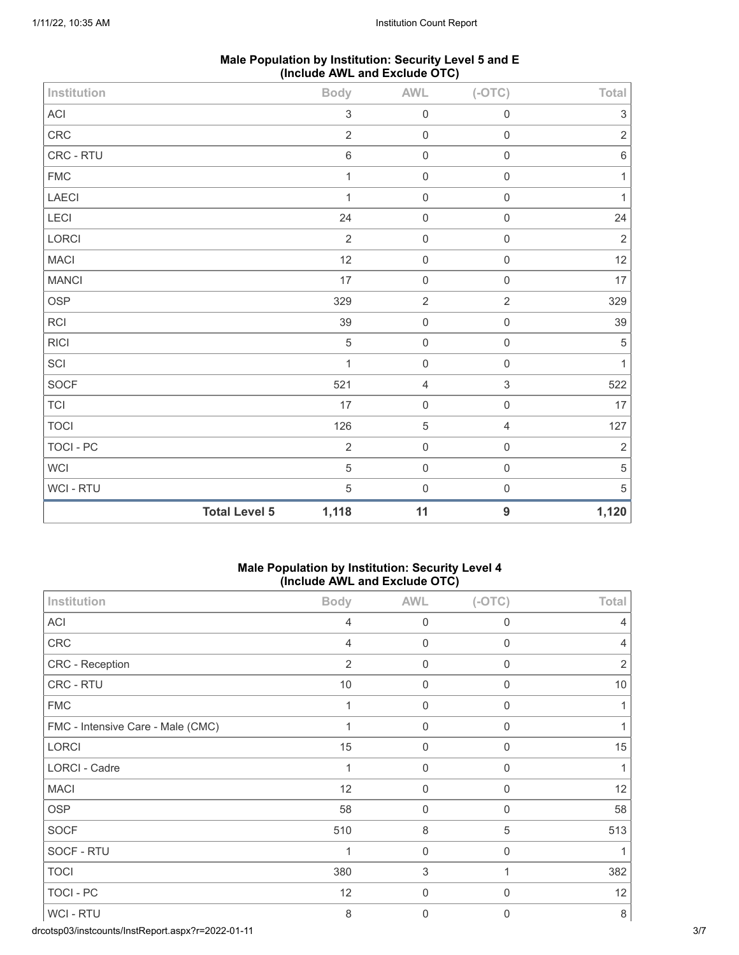| Male Population by Institution: Security Level 5 and E |  |
|--------------------------------------------------------|--|
| (Include AWL and Exclude OTC)                          |  |

| Institution                |                      | <b>Body</b>               | <b>AWL</b>  | $(-OTC)$         | Total                     |
|----------------------------|----------------------|---------------------------|-------------|------------------|---------------------------|
| $\boldsymbol{\mathsf{AC}}$ |                      | $\ensuremath{\mathsf{3}}$ | $\mathbf 0$ | $\mathbf 0$      | $\ensuremath{\mathsf{3}}$ |
| ${\sf CRC}$                |                      | $\overline{2}$            | $\mathbf 0$ | $\mathbf 0$      | $\sqrt{2}$                |
| CRC - RTU                  |                      | $\,6\,$                   | $\mathbf 0$ | $\mathbf 0$      | $\,6\,$                   |
| <b>FMC</b>                 |                      | $\mathbf{1}$              | $\mathbf 0$ | $\mathbf 0$      | $\mathbf{1}$              |
| LAECI                      |                      | $\mathbf{1}$              | $\mathbf 0$ | $\mathbf 0$      | $\mathbf{1}$              |
| LECI                       |                      | 24                        | $\mathbf 0$ | $\mathbf 0$      | 24                        |
| LORCI                      |                      | $\overline{2}$            | $\mathbf 0$ | $\mathbf 0$      | $\sqrt{2}$                |
| <b>MACI</b>                |                      | 12                        | $\mathbf 0$ | $\mathbf 0$      | 12                        |
| <b>MANCI</b>               |                      | 17                        | $\mathbf 0$ | $\mathbf 0$      | 17                        |
| OSP                        |                      | 329                       | $\sqrt{2}$  | $\sqrt{2}$       | 329                       |
| RCI                        |                      | 39                        | $\mathbf 0$ | $\mathbf 0$      | 39                        |
| <b>RICI</b>                |                      | $\overline{5}$            | $\mathbf 0$ | $\mathbf 0$      | $\,$ 5 $\,$               |
| SCI                        |                      | $\mathbf{1}$              | $\mathbf 0$ | $\mathbf 0$      | $\mathbf{1}$              |
| SOCF                       |                      | 521                       | $\sqrt{4}$  | $\sqrt{3}$       | 522                       |
| <b>TCI</b>                 |                      | 17                        | $\mathbf 0$ | $\mathbf 0$      | 17                        |
| <b>TOCI</b>                |                      | 126                       | $\sqrt{5}$  | $\sqrt{4}$       | 127                       |
| TOCI - PC                  |                      | $\sqrt{2}$                | $\mathbf 0$ | $\mathbf 0$      | $\sqrt{2}$                |
| WCI                        |                      | $\mathbf 5$               | $\mathbf 0$ | $\mathbf 0$      | $\mathbf 5$               |
| WCI - RTU                  |                      | $\mathbf 5$               | $\mathbf 0$ | $\mathbf 0$      | $\,$ 5 $\,$               |
|                            | <b>Total Level 5</b> | 1,118                     | 11          | $\boldsymbol{9}$ | 1,120                     |

## **Male Population by Institution: Security Level 4 (Include AWL and Exclude OTC)**

|                                   | ,              |                  |                  |                |
|-----------------------------------|----------------|------------------|------------------|----------------|
| Institution                       | <b>Body</b>    | <b>AWL</b>       | $(-OTC)$         | Total          |
| <b>ACI</b>                        | $\overline{4}$ | $\mathbf 0$      | $\mathbf 0$      | $\overline{4}$ |
| CRC                               | 4              | $\Omega$         | $\mathbf{0}$     | $\overline{4}$ |
| CRC - Reception                   | $\overline{2}$ | 0                | 0                | $\overline{2}$ |
| CRC - RTU                         | 10             | $\mathbf 0$      | $\mathbf 0$      | 10             |
| <b>FMC</b>                        | 1              | 0                | $\Omega$         | $\mathbf{1}$   |
| FMC - Intensive Care - Male (CMC) |                | $\boldsymbol{0}$ | 0                | 1              |
| <b>LORCI</b>                      | 15             | $\mathbf 0$      | $\mathbf 0$      | 15             |
| LORCI - Cadre                     | 1              | $\mathbf 0$      | $\mathbf 0$      | $\mathbf{1}$   |
| <b>MACI</b>                       | 12             | $\boldsymbol{0}$ | $\boldsymbol{0}$ | 12             |
| <b>OSP</b>                        | 58             | $\mathbf 0$      | $\mathbf 0$      | 58             |
| <b>SOCF</b>                       | 510            | $\,8\,$          | 5                | 513            |
| SOCF - RTU                        |                | $\mathbf 0$      | $\mathbf 0$      |                |
| <b>TOCI</b>                       | 380            | 3                | 1                | 382            |
| TOCI - PC                         | 12             | $\mathbf 0$      | $\mathbf 0$      | 12             |
| WCI - RTU                         | 8              | $\mathbf{0}$     | $\mathbf{0}$     | $\,8\,$        |

drcotsp03/instcounts/InstReport.aspx?r=2022-01-11 3/7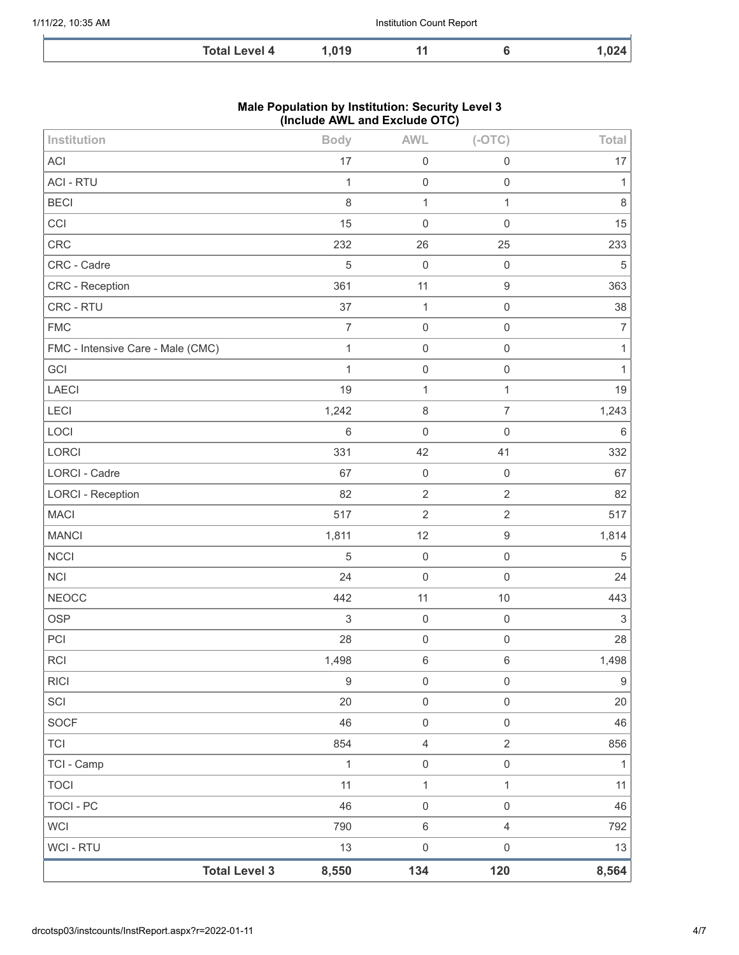| Total<br>ovel 4 | 04 C<br>ט ו | а а | $-$ |
|-----------------|-------------|-----|-----|

#### **Male Population by Institution: Security Level 3 (Include AWL and Exclude OTC)**

| <b>Total Level 3</b>              | 8,550            | 134               | 120                 | 8,564            |
|-----------------------------------|------------------|-------------------|---------------------|------------------|
| WCI - RTU                         | 13               | $\mathsf 0$       | $\mathsf{O}\xspace$ | 13               |
| <b>WCI</b>                        | 790              | $\,6\,$           | $\overline{4}$      | 792              |
| <b>TOCI - PC</b>                  | 46               | $\mathbf 0$       | $\,0\,$             | 46               |
| <b>TOCI</b>                       | 11               | $\mathbf 1$       | $\mathbf{1}$        | 11               |
| TCI - Camp                        | $\mathbf{1}$     | $\mathbf 0$       | $\mathsf{O}\xspace$ | $\mathbf{1}$     |
| TCI                               | 854              | $\overline{4}$    | $\overline{2}$      | 856              |
| SOCF                              | 46               | $\mathbf 0$       | $\mathsf{O}\xspace$ | 46               |
| SCI                               | 20               | $\mathbf 0$       | $\,0\,$             | 20               |
| <b>RICI</b>                       | $\boldsymbol{9}$ | $\mathsf 0$       | $\mathsf{O}\xspace$ | $\boldsymbol{9}$ |
| <b>RCI</b>                        | 1,498            | $\,$ 6 $\,$       | $\,6\,$             | 1,498            |
| PCI                               | 28               | $\mathbf 0$       | $\mathsf 0$         | 28               |
| <b>OSP</b>                        | $\,$ 3 $\,$      | $\mathbf 0$       | $\mathsf 0$         | $\mathfrak{Z}$   |
| <b>NEOCC</b>                      | 442              | 11                | $10$                | 443              |
| <b>NCI</b>                        | 24               | $\mathbf 0$       | $\mathsf 0$         | 24               |
| <b>NCCI</b>                       | 5                | $\mathbf 0$       | $\mathsf 0$         | $\sqrt{5}$       |
| <b>MANCI</b>                      | 1,811            | 12                | $\boldsymbol{9}$    | 1,814            |
| <b>MACI</b>                       | 517              | $\sqrt{2}$        | $\sqrt{2}$          | 517              |
| <b>LORCI - Reception</b>          | 82               | $\overline{2}$    | $\overline{2}$      | 82               |
| LORCI - Cadre                     | 67               | $\mathbf 0$       | $\mathsf{O}\xspace$ | 67               |
| LOCI<br>LORCI                     | $\,6\,$<br>331   | $\mathbf 0$<br>42 | $\mathbf 0$<br>41   | $\,6\,$<br>332   |
| LECI                              | 1,242            | $\,8\,$           | $\overline{7}$      | 1,243            |
| LAECI                             | 19               | $\mathbf{1}$      | $\mathbf{1}$        | 19               |
| GCI                               | 1                | $\mathbf 0$       | $\mathsf 0$         | $\mathbf{1}$     |
| FMC - Intensive Care - Male (CMC) | $\mathbf{1}$     | $\mathbf 0$       | $\mathsf{O}\xspace$ | $\mathbf{1}$     |
| <b>FMC</b>                        | $\overline{7}$   | $\mathbf 0$       | $\mathsf 0$         | $\boldsymbol{7}$ |
| CRC - RTU                         | 37               | $\mathbf{1}$      | $\mathsf 0$         | 38               |
| CRC - Reception                   | 361              | 11                | $\boldsymbol{9}$    | 363              |
| CRC - Cadre                       | 5                | $\mathbf 0$       | $\mathbf 0$         | $\sqrt{5}$       |
| CRC                               | 232              | 26                | 25                  | 233              |
| CCI                               | 15               | $\mathbf 0$       | $\mathsf 0$         | 15               |
| <b>BECI</b>                       | $\,8\,$          | $\mathbf{1}$      | $\mathbf{1}$        | $\,8\,$          |
| <b>ACI - RTU</b>                  | 1                | $\mathbf 0$       | $\mathsf 0$         | 1                |
| <b>ACI</b>                        | 17               | $\mathbf 0$       | $\mathsf{O}\xspace$ | 17               |
| Institution                       | <b>Body</b>      | <b>AWL</b>        | $(-OTC)$            | Total            |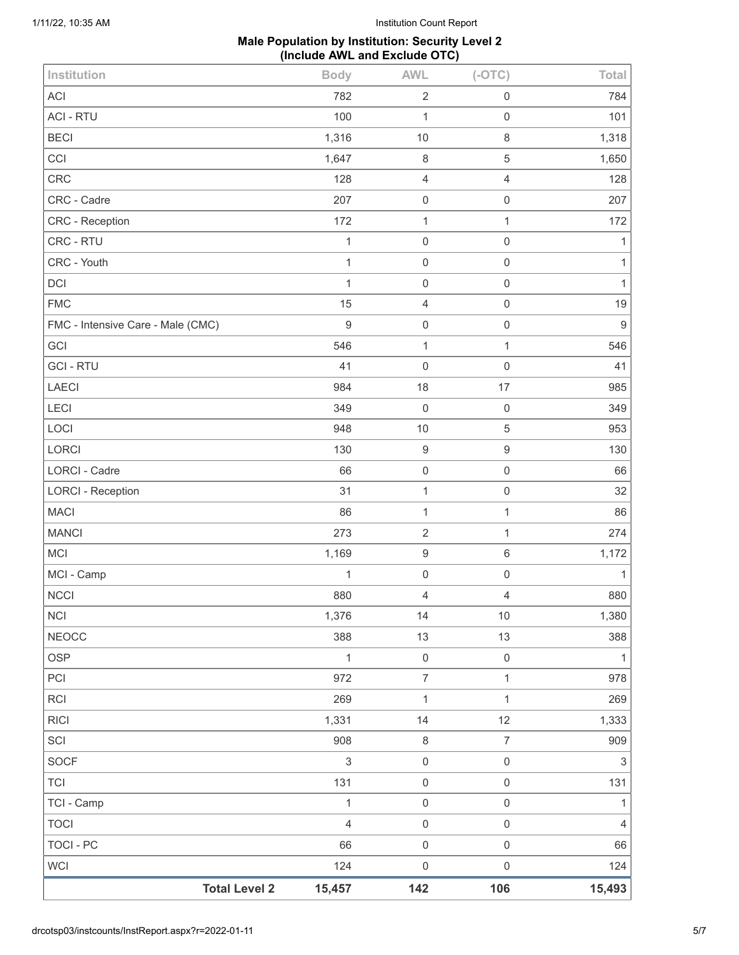## **Male Population by Institution: Security Level 2 (Include AWL and Exclude OTC)**

| Institution                       | <b>Body</b>    | <b>AWL</b>          | $(-OTC)$            | Total          |
|-----------------------------------|----------------|---------------------|---------------------|----------------|
| <b>ACI</b>                        | 782            | $\sqrt{2}$          | $\mathsf 0$         | 784            |
| <b>ACI - RTU</b>                  | 100            | 1                   | $\mathsf 0$         | 101            |
| <b>BECI</b>                       | 1,316          | 10                  | 8                   | 1,318          |
| CCI                               | 1,647          | $\,8\,$             | $\mathbf 5$         | 1,650          |
| CRC                               | 128            | $\overline{4}$      | $\overline{4}$      | 128            |
| CRC - Cadre                       | 207            | $\mathbf 0$         | $\mathsf{O}\xspace$ | 207            |
| CRC - Reception                   | 172            | $\mathbf{1}$        | $\mathbf{1}$        | 172            |
| CRC - RTU                         | $\mathbf{1}$   | $\mathbf 0$         | $\mathsf{O}\xspace$ | 1              |
| CRC - Youth                       | 1              | $\mathbf 0$         | 0                   | 1              |
| DCI                               | $\mathbf{1}$   | $\mathbf 0$         | $\mathsf{O}\xspace$ | $\mathbf{1}$   |
| <b>FMC</b>                        | 15             | $\overline{4}$      | $\mathsf 0$         | 19             |
| FMC - Intensive Care - Male (CMC) | $\mathsf g$    | $\mathbf 0$         | $\mathsf 0$         | $\overline{9}$ |
| GCI                               | 546            | $\mathbf{1}$        | $\mathbf{1}$        | 546            |
| <b>GCI-RTU</b>                    | 41             | $\mathbf 0$         | $\mathsf 0$         | 41             |
| <b>LAECI</b>                      | 984            | 18                  | 17                  | 985            |
| LECI                              | 349            | $\mathbf 0$         | $\mathbf 0$         | 349            |
| LOCI                              | 948            | $10$                | $\mathbf 5$         | 953            |
| LORCI                             | 130            | $\boldsymbol{9}$    | $\boldsymbol{9}$    | 130            |
| <b>LORCI - Cadre</b>              | 66             | $\mathbf 0$         | $\mathsf{O}\xspace$ | 66             |
| <b>LORCI - Reception</b>          | 31             | $\mathbf{1}$        | $\mathsf{O}\xspace$ | 32             |
| <b>MACI</b>                       | 86             | $\mathbf{1}$        | $\mathbf{1}$        | 86             |
| <b>MANCI</b>                      | 273            | $\overline{2}$      | $\mathbf{1}$        | 274            |
| MCI                               | 1,169          | $\boldsymbol{9}$    | 6                   | 1,172          |
| MCI - Camp                        | 1              | $\mathsf{O}\xspace$ | $\mathsf{O}\xspace$ | 1              |
| <b>NCCI</b>                       | 880            | $\sqrt{4}$          | 4                   | 880            |
| NCI                               | 1,376          | 14                  | $10$                | 1,380          |
| <b>NEOCC</b>                      | 388            | 13                  | 13                  | 388            |
| <b>OSP</b>                        | $\mathbf 1$    | $\mathsf{O}\xspace$ | $\mathsf{O}\xspace$ | $\mathbf{1}$   |
| PCI                               | 972            | $\overline{7}$      | $\mathbf{1}$        | 978            |
| <b>RCI</b>                        | 269            | $\mathbf{1}$        | $\mathbf{1}$        | 269            |
| <b>RICI</b>                       | 1,331          | 14                  | 12                  | 1,333          |
| SCI                               | 908            | $\,8\,$             | $\overline{7}$      | 909            |
| SOCF                              | 3              | $\mathbf 0$         | $\mathsf{O}\xspace$ | $\sqrt{3}$     |
| <b>TCI</b>                        | 131            | $\mathbf 0$         | $\mathsf{O}\xspace$ | 131            |
| TCI - Camp                        | $\mathbf{1}$   | $\mathsf{O}\xspace$ | $\mathsf{O}\xspace$ | $\mathbf{1}$   |
| <b>TOCI</b>                       | $\overline{4}$ | $\mathsf{O}\xspace$ | $\mathsf{O}\xspace$ | 4              |
| <b>TOCI - PC</b>                  | 66             | $\mathbf 0$         | $\mathsf 0$         | 66             |
| <b>WCI</b>                        | 124            | $\mathbf 0$         | $\mathsf{O}\xspace$ | 124            |
| <b>Total Level 2</b>              | 15,457         | 142                 | 106                 | 15,493         |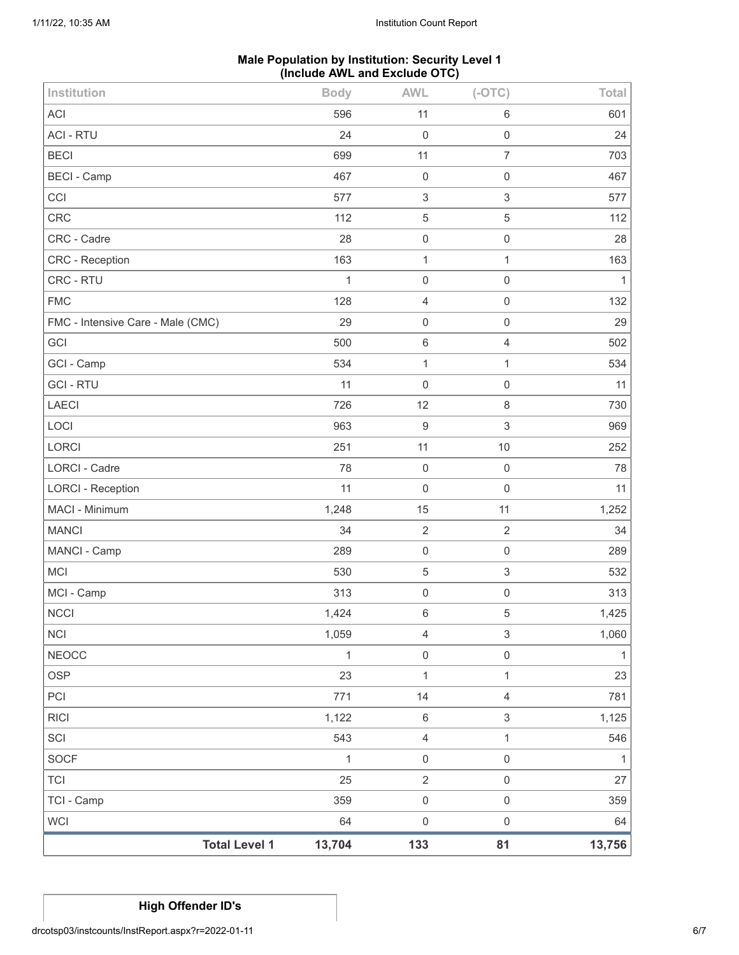## **Male Population by Institution: Security Level 1 (Include AWL and Exclude OTC)**

| Institution                       | <b>Body</b>  | <b>AWL</b>          | $(-OTC)$                  | Total  |
|-----------------------------------|--------------|---------------------|---------------------------|--------|
| ACI                               | 596          | 11                  | $\,6\,$                   | 601    |
| <b>ACI - RTU</b>                  | 24           | $\mathbf 0$         | $\mathsf 0$               | 24     |
| <b>BECI</b>                       | 699          | 11                  | $\overline{7}$            | 703    |
| <b>BECI - Camp</b>                | 467          | $\mathbf 0$         | $\mathbf 0$               | 467    |
| CCI                               | 577          | $\sqrt{3}$          | 3                         | 577    |
| CRC                               | 112          | $\sqrt{5}$          | 5                         | 112    |
| CRC - Cadre                       | 28           | $\mathsf 0$         | $\mathsf 0$               | 28     |
| CRC - Reception                   | 163          | $\mathbf{1}$        | 1                         | 163    |
| CRC - RTU                         | $\mathbf{1}$ | $\mathbf 0$         | $\mathsf 0$               | 1      |
| <b>FMC</b>                        | 128          | $\overline{4}$      | $\mathsf{O}\xspace$       | 132    |
| FMC - Intensive Care - Male (CMC) | 29           | $\mathsf{O}\xspace$ | $\mathsf 0$               | 29     |
| GCI                               | 500          | $\,6\,$             | $\overline{4}$            | 502    |
| GCI - Camp                        | 534          | $\mathbf{1}$        | $\mathbf{1}$              | 534    |
| <b>GCI - RTU</b>                  | 11           | $\mathsf{O}\xspace$ | $\mathbf 0$               | 11     |
| LAECI                             | 726          | 12                  | $\,8\,$                   | 730    |
| LOCI                              | 963          | $\boldsymbol{9}$    | 3                         | 969    |
| LORCI                             | 251          | 11                  | $10$                      | 252    |
| <b>LORCI - Cadre</b>              | 78           | $\mathbf 0$         | $\mathbf 0$               | 78     |
| <b>LORCI - Reception</b>          | 11           | $\mathsf 0$         | $\mathbf 0$               | 11     |
| MACI - Minimum                    | 1,248        | 15                  | 11                        | 1,252  |
| <b>MANCI</b>                      | 34           | $\sqrt{2}$          | $\sqrt{2}$                | 34     |
| MANCI - Camp                      | 289          | $\mathbf 0$         | $\mathbf 0$               | 289    |
| <b>MCI</b>                        | 530          | $\,$ 5 $\,$         | $\ensuremath{\mathsf{3}}$ | 532    |
| MCI - Camp                        | 313          | $\mathsf 0$         | $\mathbf 0$               | 313    |
| <b>NCCI</b>                       | 1,424        | $\,6\,$             | 5                         | 1,425  |
| <b>NCI</b>                        | 1,059        | $\overline{4}$      | $\ensuremath{\mathsf{3}}$ | 1,060  |
| <b>NEOCC</b>                      | $\mathbf{1}$ | $\mathsf 0$         | $\mathsf{O}\xspace$       | 1      |
| OSP                               | 23           | $\mathbf 1$         | $\mathbf{1}$              | 23     |
| PCI                               | 771          | 14                  | $\sqrt{4}$                | 781    |
| <b>RICI</b>                       | 1,122        | $\,6\,$             | 3                         | 1,125  |
| SCI                               | 543          | $\sqrt{4}$          | 1                         | 546    |
| SOCF                              | 1            | $\mathsf{O}\xspace$ | $\mathsf{O}\xspace$       | 1      |
| <b>TCI</b>                        | 25           | $\sqrt{2}$          | $\mathsf{O}\xspace$       | 27     |
| TCI - Camp                        | 359          | $\mathsf 0$         | $\mathsf{O}\xspace$       | 359    |
| WCI                               | 64           | $\mathsf 0$         | $\mathsf{O}\xspace$       | 64     |
| <b>Total Level 1</b>              | 13,704       | 133                 | 81                        | 13,756 |

# **High Offender ID's**